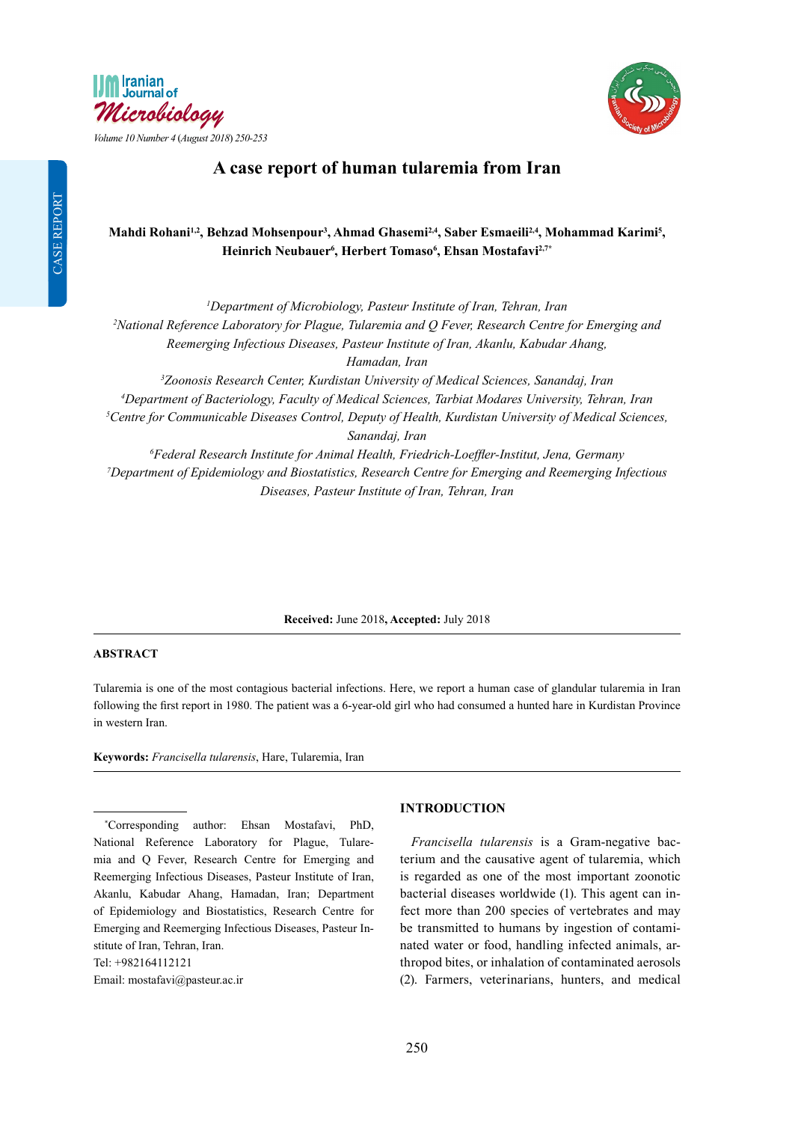

*Volume 10 Number 4* (*August 2018*) *250-253*



# **A case report of human tularemia from Iran**

# Mahdi Rohani<sup>1,2</sup>, Behzad Mohsenpour<sup>3</sup>, Ahmad Ghasemi<sup>2,4</sup>, Saber Esmaeili<sup>2,4</sup>, Mohammad Karimi<sup>5</sup>, **Heinrich Neubauer6 , Herbert Tomaso6 , Ehsan Mostafavi2,7\***

 *Department of Microbiology, Pasteur Institute of Iran, Tehran, Iran National Reference Laboratory for Plague, Tularemia and Q Fever, Research Centre for Emerging and Reemerging Infectious Diseases, Pasteur Institute of Iran, Akanlu, Kabudar Ahang, Hamadan, Iran Zoonosis Research Center, Kurdistan University of Medical Sciences, Sanandaj, Iran Department of Bacteriology, Faculty of Medical Sciences, Tarbiat Modares University, Tehran, Iran Centre for Communicable Diseases Control, Deputy of Health, Kurdistan University of Medical Sciences, Sanandaj, Iran Federal Research Institute for Animal Health, Friedrich-Loeffler-Institut, Jena, Germany Department of Epidemiology and Biostatistics, Research Centre for Emerging and Reemerging Infectious Diseases, Pasteur Institute of Iran, Tehran, Iran*

**Received:** June 2018**, Accepted:** July 2018

## **ABSTRACT**

Tularemia is one of the most contagious bacterial infections. Here, we report a human case of glandular tularemia in Iran following the first report in 1980. The patient was a 6-year-old girl who had consumed a hunted hare in Kurdistan Province in western Iran.

**Keywords:** *Francisella tularensis*, Hare, Tularemia, Iran

\* Corresponding author: Ehsan Mostafavi, PhD, National Reference Laboratory for Plague, Tularemia and Q Fever, Research Centre for Emerging and Reemerging Infectious Diseases, Pasteur Institute of Iran, Akanlu, Kabudar Ahang, Hamadan, Iran; Department of Epidemiology and Biostatistics, Research Centre for Emerging and Reemerging Infectious Diseases, Pasteur Institute of Iran, Tehran, Iran.

Tel: +982164112121 Email: mostafavi@pasteur.ac.ir

#### **INTRODUCTION**

*Francisella tularensis* is a Gram-negative bacterium and the causative agent of tularemia, which is regarded as one of the most important zoonotic bacterial diseases worldwide (1). This agent can infect more than 200 species of vertebrates and may be transmitted to humans by ingestion of contaminated water or food, handling infected animals, arthropod bites, or inhalation of contaminated aerosols (2). Farmers, veterinarians, hunters, and medical

CASE REPORT

**CASE REPORT**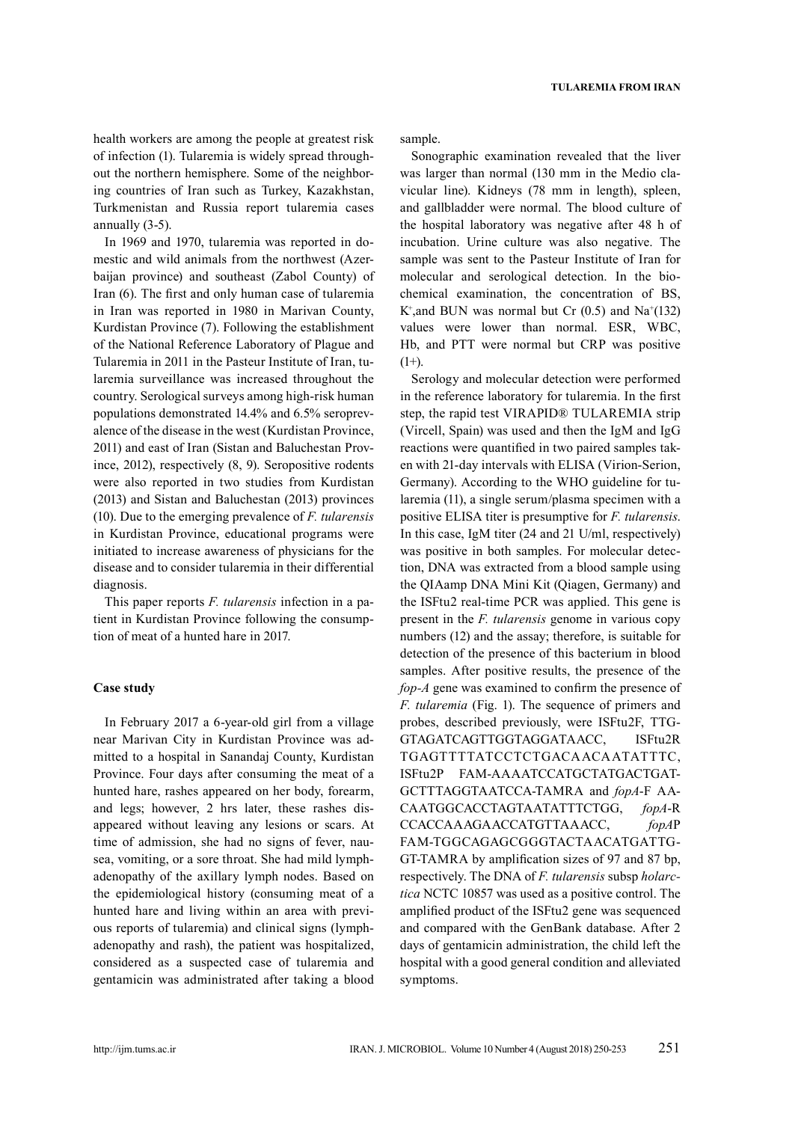health workers are among the people at greatest risk of infection (1). Tularemia is widely spread throughout the northern hemisphere. Some of the neighboring countries of Iran such as Turkey, Kazakhstan, Turkmenistan and Russia report tularemia cases annually (3-5).

In 1969 and 1970, tularemia was reported in domestic and wild animals from the northwest (Azerbaijan province) and southeast (Zabol County) of Iran (6). The first and only human case of tularemia in Iran was reported in 1980 in Marivan County, Kurdistan Province (7). Following the establishment of the National Reference Laboratory of Plague and Tularemia in 2011 in the Pasteur Institute of Iran, tularemia surveillance was increased throughout the country. Serological surveys among high-risk human populations demonstrated 14.4% and 6.5% seroprevalence of the disease in the west (Kurdistan Province, 2011) and east of Iran (Sistan and Baluchestan Province, 2012), respectively (8, 9). Seropositive rodents were also reported in two studies from Kurdistan (2013) and Sistan and Baluchestan (2013) provinces (10). Due to the emerging prevalence of *F. tularensis* in Kurdistan Province, educational programs were initiated to increase awareness of physicians for the disease and to consider tularemia in their differential diagnosis.

This paper reports *F. tularensis* infection in a patient in Kurdistan Province following the consumption of meat of a hunted hare in 2017.

#### **Case study**

In February 2017 a 6-year-old girl from a village near Marivan City in Kurdistan Province was admitted to a hospital in Sanandaj County, Kurdistan Province. Four days after consuming the meat of a hunted hare, rashes appeared on her body, forearm, and legs; however, 2 hrs later, these rashes disappeared without leaving any lesions or scars. At time of admission, she had no signs of fever, nausea, vomiting, or a sore throat. She had mild lymphadenopathy of the axillary lymph nodes. Based on the epidemiological history (consuming meat of a hunted hare and living within an area with previous reports of tularemia) and clinical signs (lymphadenopathy and rash), the patient was hospitalized, considered as a suspected case of tularemia and gentamicin was administrated after taking a blood sample.

Sonographic examination revealed that the liver was larger than normal (130 mm in the Medio clavicular line). Kidneys (78 mm in length), spleen, and gallbladder were normal. The blood culture of the hospital laboratory was negative after 48 h of incubation. Urine culture was also negative. The sample was sent to the Pasteur Institute of Iran for molecular and serological detection. In the biochemical examination, the concentration of BS, K<sup>+</sup>, and BUN was normal but Cr  $(0.5)$  and Na<sup>+</sup>(132) values were lower than normal. ESR, WBC, Hb, and PTT were normal but CRP was positive  $(1+).$ 

Serology and molecular detection were performed in the reference laboratory for tularemia. In the first step, the rapid test VIRAPID® TULAREMIA strip (Vircell, Spain) was used and then the IgM and IgG reactions were quantified in two paired samples taken with 21-day intervals with ELISA (Virion-Serion, Germany). According to the WHO guideline for tularemia (11), a single serum/plasma specimen with a positive ELISA titer is presumptive for *F. tularensis*. In this case, IgM titer (24 and 21 U/ml, respectively) was positive in both samples. For molecular detection, DNA was extracted from a blood sample using the QIAamp DNA Mini Kit (Qiagen, Germany) and the ISFtu2 real-time PCR was applied. This gene is present in the *F. tularensis* genome in various copy numbers (12) and the assay; therefore, is suitable for detection of the presence of this bacterium in blood samples. After positive results, the presence of the *fop-A* gene was examined to confirm the presence of *F. tularemia* (Fig. 1). The sequence of primers and probes, described previously, were ISFtu2F, TTG-GTAGATCAGTTGGTAGGATAACC, ISFtu2R TGAGTTTTATCCTCTGACAACAATATTTC, ISFtu2P FAM-AAAATCCATGCTATGACTGAT-GCTTTAGGTAATCCA-TAMRA and *fopA*-F AA-CAATGGCACCTAGTAATATTTCTGG, *fopA*-R CCACCAAAGAACCATGTTAAACC, *fopA*P FAM-TGGCAGAGCGGGTACTAACATGATTG-GT-TAMRA by amplification sizes of 97 and 87 bp, respectively. The DNA of *F. tularensis* subsp *holarctica* NCTC 10857 was used as a positive control. The amplified product of the ISFtu2 gene was sequenced and compared with the GenBank database. After 2 days of gentamicin administration, the child left the hospital with a good general condition and alleviated symptoms.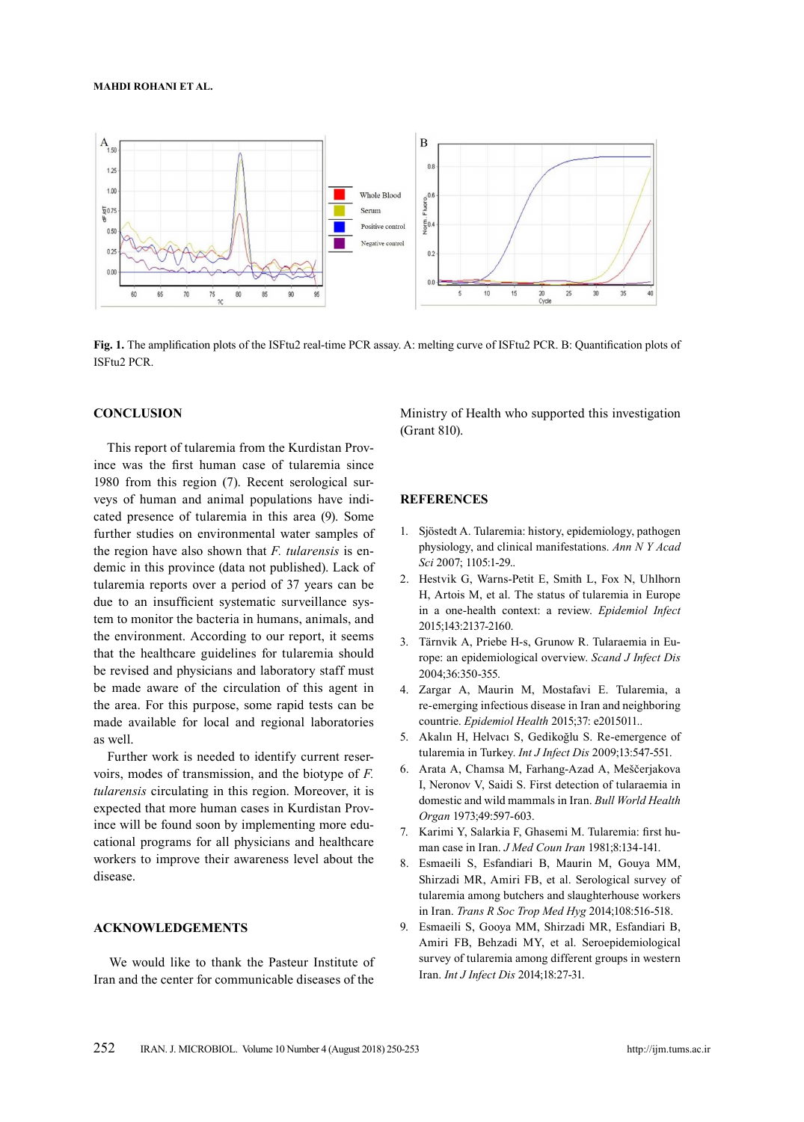#### **Mahdi Rohani ET AL.**



**Fig. 1.** The amplification plots of the ISFtu2 real-time PCR assay. A: melting curve of ISFtu2 PCR. B: Quantification plots of ISFtu2 PCR.

#### **CONCLUSION**

This report of tularemia from the Kurdistan Province was the first human case of tularemia since 1980 from this region (7). Recent serological surveys of human and animal populations have indicated presence of tularemia in this area (9). Some further studies on environmental water samples of the region have also shown that *F. tularensis* is endemic in this province (data not published). Lack of tularemia reports over a period of 37 years can be due to an insufficient systematic surveillance system to monitor the bacteria in humans, animals, and the environment. According to our report, it seems that the healthcare guidelines for tularemia should be revised and physicians and laboratory staff must be made aware of the circulation of this agent in the area. For this purpose, some rapid tests can be made available for local and regional laboratories as well.

 Further work is needed to identify current reservoirs, modes of transmission, and the biotype of *F. tularensis* circulating in this region. Moreover, it is expected that more human cases in Kurdistan Province will be found soon by implementing more educational programs for all physicians and healthcare workers to improve their awareness level about the disease.

#### **ACKNOWLEDGEMENTS**

 We would like to thank the Pasteur Institute of Iran and the center for communicable diseases of the Ministry of Health who supported this investigation (Grant 810).

## **REFERENCES**

- 1. Sjöstedt A. Tularemia: history, epidemiology, pathogen physiology, and clinical manifestations. *Ann N Y Acad Sci* 2007; 1105:1-29..
- 2. Hestvik G, Warns-Petit E, Smith L, Fox N, Uhlhorn H, Artois M, et al. The status of tularemia in Europe in a one-health context: a review. *Epidemiol Infect*  2015;143:2137-2160.
- 3. Tärnvik A, Priebe H-s, Grunow R. Tularaemia in Europe: an epidemiological overview. *Scand J Infect Dis*  2004;36:350-355.
- 4. Zargar A, Maurin M, Mostafavi E. Tularemia, a re-emerging infectious disease in Iran and neighboring countrie. *Epidemiol Health* 2015;37: e2015011..
- 5. Akalın H, Helvacı S, Gedikoğlu S. Re-emergence of tularemia in Turkey. *Int J Infect Dis* 2009;13:547-551.
- 6. Arata A, Chamsa M, Farhang-Azad A, Meščerjakova I, Neronov V, Saidi S. First detection of tularaemia in domestic and wild mammals in Iran. *Bull World Health Organ* 1973;49:597-603.
- 7. Karimi Y, Salarkia F, Ghasemi M. Tularemia: first human case in Iran. *J Med Coun Iran* 1981;8:134-141.
- 8. Esmaeili S, Esfandiari B, Maurin M, Gouya MM, Shirzadi MR, Amiri FB, et al. Serological survey of tularemia among butchers and slaughterhouse workers in Iran. *Trans R Soc Trop Med Hyg* 2014;108:516-518.
- 9. Esmaeili S, Gooya MM, Shirzadi MR, Esfandiari B, Amiri FB, Behzadi MY, et al. Seroepidemiological survey of tularemia among different groups in western Iran. *Int J Infect Dis* 2014;18:27-31.